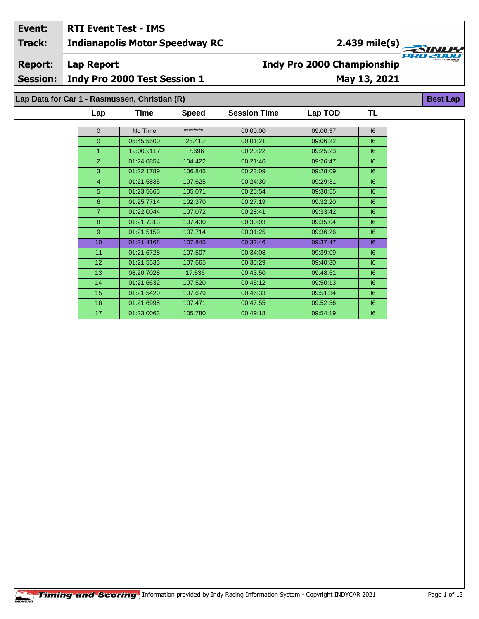# **Event: RTI Event Test - IMS**

**Indianapolis Motor Speedway RC Track:**

**2.439 mile(s)**

**Report:**

**Lap Report**

**Session: Indy Pro 2000 Test Session 1**

# **May 13, 2021**

**TL**

**Best Lap**

**Indy Pro 2000 Championship**

**Lap Data for Car 1 - Rasmussen, Christian (R)**

| Lap             | Time       | <b>Speed</b> | <b>Session Time</b> | Lap TOD  | TL |
|-----------------|------------|--------------|---------------------|----------|----|
|                 |            |              |                     |          |    |
| $\mathbf 0$     | No Time    | ********     | 00:00:00            | 09:00:37 | 16 |
| $\mathbf{0}$    | 05:45.5500 | 25.410       | 00:01:21            | 09:06:22 | 6  |
| 1               | 19:00.9117 | 7.696        | 00:20:22            | 09:25:23 | 6  |
| $\overline{2}$  | 01:24.0854 | 104.422      | 00:21:46            | 09:26:47 | 6  |
| 3               | 01:22.1789 | 106.845      | 00:23:09            | 09:28:09 | 6  |
| $\overline{4}$  | 01:21.5835 | 107.625      | 00:24:30            | 09:29:31 | 6  |
| 5               | 01:23.5665 | 105.071      | 00:25:54            | 09:30:55 | 6  |
| 6               | 01:25.7714 | 102.370      | 00:27:19            | 09:32:20 | 6  |
| $\overline{7}$  | 01:22.0044 | 107.072      | 00:28:41            | 09:33:42 | 6  |
| 8               | 01:21.7313 | 107.430      | 00:30:03            | 09:35:04 | 6  |
| 9               | 01:21.5159 | 107.714      | 00:31:25            | 09:36:26 | 6  |
| 10              | 01:21.4168 | 107.845      | 00:32:46            | 09:37:47 | 6  |
| 11              | 01:21.6728 | 107.507      | 00:34:08            | 09:39:09 | 6  |
| 12 <sub>2</sub> | 01:21.5533 | 107.665      | 00:35:29            | 09:40:30 | 6  |
| 13              | 08:20.7028 | 17.536       | 00:43:50            | 09:48:51 | 6  |
| 14              | 01:21.6632 | 107.520      | 00:45:12            | 09:50:13 | 6  |
| 15              | 01:21.5420 | 107.679      | 00:46:33            | 09:51:34 | 6  |
| 16              | 01:21.6998 | 107.471      | 00:47:55            | 09:52:56 | 16 |
| 17              | 01:23.0063 | 105.780      | 00:49:18            | 09:54:19 | 16 |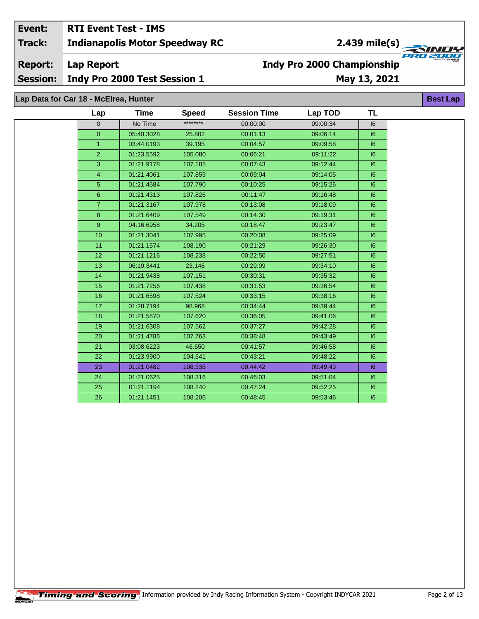### Event: **RTI Event Test - IMS Indianapolis Motor Speedway RC Track:**

# 2.439 mile(s)

**Report: Lap Report** 

**Session:** Indy Pro 2000 Test Session 1

### May 13, 2021

**Best Lap** 

**Indy Pro 2000 Championship** 

Lap Data for Car 18 - McElrea, Hunter

| Lap            | <b>Time</b> | <b>Speed</b> | <b>Session Time</b> | Lap TOD  | <b>TL</b> |
|----------------|-------------|--------------|---------------------|----------|-----------|
| $\Omega$       | No Time     | ********     | 00:00:00            | 09:00:34 | 16        |
| $\overline{0}$ | 05:40.3028  | 25.802       | 00:01:13            | 09:06:14 | 6         |
| $\mathbf{1}$   | 03:44.0193  | 39.195       | 00:04:57            | 09:09:58 | 6         |
| $\overline{2}$ | 01:23.5592  | 105.080      | 00:06:21            | 09:11:22 | 16        |
| $\overline{3}$ | 01:21.9178  | 107.185      | 00:07:43            | 09:12:44 | 6         |
| $\overline{4}$ | 01:21.4061  | 107.859      | 00:09:04            | 09:14:05 | 6         |
| 5              | 01:21.4584  | 107.790      | 00:10:25            | 09:15:26 | 6         |
| 6              | 01:21.4313  | 107.826      | 00:11:47            | 09:16:48 | 6         |
| $\overline{7}$ | 01:21.3167  | 107.978      | 00:13:08            | 09:18:09 | 6         |
| $\bf{8}$       | 01:21.6409  | 107.549      | 00:14:30            | 09:19:31 | 6         |
| 9 <sup>°</sup> | 04:16.6958  | 34.205       | 00:18:47            | 09:23:47 | 16        |
| 10             | 01:21.3041  | 107.995      | 00:20:08            | 09:25:09 | 6         |
| 11             | 01:21.1574  | 108.190      | 00:21:29            | 09:26:30 | 6         |
| 12             | 01:21.1216  | 108.238      | 00:22:50            | 09:27:51 | 6         |
| 13             | 06:19.3441  | 23.146       | 00:29:09            | 09:34:10 | 16        |
| 14             | 01:21.9438  | 107.151      | 00:30:31            | 09:35:32 | 16        |
| 15             | 01:21.7256  | 107.438      | 00:31:53            | 09:36:54 | 6         |
| 16             | 01:21.6598  | 107.524      | 00:33:15            | 09:38:16 | 6         |
| 17             | 01:28.7194  | 98.968       | 00:34:44            | 09:39:44 | 6         |
| 18             | 01:21.5870  | 107.620      | 00:36:05            | 09:41:06 | 6         |
| 19             | 01:21.6308  | 107.562      | 00:37:27            | 09:42:28 | 6         |
| 20             | 01:21.4786  | 107.763      | 00:38:48            | 09:43:49 | 16        |
| 21             | 03:08.6223  | 46.550       | 00:41:57            | 09:46:58 | 6         |
| 22             | 01:23.9900  | 104.541      | 00:43:21            | 09:48:22 | 6         |
| 23             | 01:21.0482  | 108.336      | 00:44:42            | 09:49:43 | 6         |
| 24             | 01:21.0625  | 108.316      | 00:46:03            | 09:51:04 | 6         |
| 25             | 01:21.1194  | 108.240      | 00:47:24            | 09:52:25 | 6         |
| 26             | 01:21.1451  | 108.206      | 00:48:45            | 09:53:46 | 16        |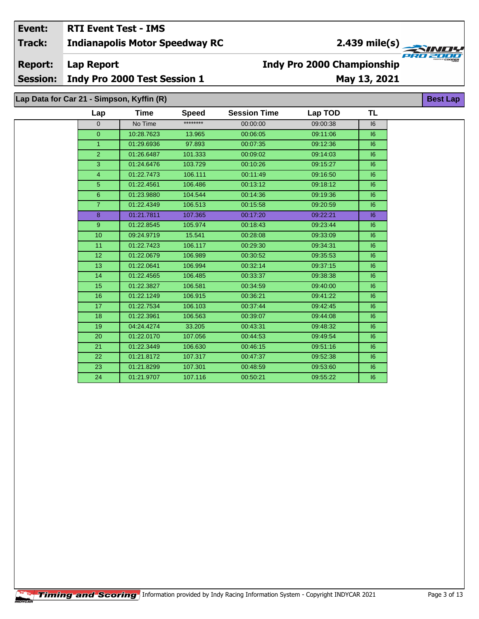### Event: **RTI Event Test - IMS Indianapolis Motor Speedway RC**

### **Track:**

**Report: Lap Report** 

**Session:** Indy Pro 2000 Test Session 1

# **Indy Pro 2000 Championship** May 13, 2021

Lap Data for Car 21 - Simpson, Kyffin (R)

| Lap             | Time       | <b>Speed</b> | <b>Session Time</b> | Lap TOD  | <b>TL</b> |
|-----------------|------------|--------------|---------------------|----------|-----------|
| $\mathbf{0}$    | No Time    | ********     | 00:00:00            | 09:00:38 | 16        |
| $\overline{0}$  | 10:28.7623 | 13.965       | 00:06:05            | 09:11:06 | 6         |
| $\mathbf{1}$    | 01:29.6936 | 97.893       | 00:07:35            | 09:12:36 | 6         |
| $\overline{2}$  | 01:26.6487 | 101.333      | 00:09:02            | 09:14:03 | 6         |
| 3               | 01:24.6476 | 103.729      | 00:10:26            | 09:15:27 | 6         |
| $\overline{4}$  | 01:22.7473 | 106.111      | 00:11:49            | 09:16:50 | 6         |
| $\overline{5}$  | 01:22.4561 | 106.486      | 00:13:12            | 09:18:12 | 16        |
| $6\phantom{1}$  | 01:23.9880 | 104.544      | 00:14:36            | 09:19:36 | 16        |
| $\overline{7}$  | 01:22.4349 | 106.513      | 00:15:58            | 09:20:59 | 6         |
| 8               | 01:21.7811 | 107.365      | 00:17:20            | 09:22:21 | 6         |
| 9               | 01:22.8545 | 105.974      | 00:18:43            | 09:23:44 | 16        |
| 10              | 09:24.9719 | 15.541       | 00:28:08            | 09:33:09 | 6         |
| 11              | 01:22.7423 | 106.117      | 00:29:30            | 09:34:31 | 6         |
| 12 <sup>2</sup> | 01:22.0679 | 106.989      | 00:30:52            | 09:35:53 | 6         |
| 13              | 01:22.0641 | 106.994      | 00:32:14            | 09:37:15 | 6         |
| 14              | 01:22.4565 | 106.485      | 00:33:37            | 09:38:38 | 6         |
| 15              | 01:22.3827 | 106.581      | 00:34:59            | 09:40:00 | 6         |
| 16              | 01:22.1249 | 106.915      | 00:36:21            | 09:41:22 | 6         |
| 17              | 01:22.7534 | 106.103      | 00:37:44            | 09:42:45 | 6         |
| 18              | 01:22.3961 | 106.563      | 00:39:07            | 09:44:08 | 16        |
| 19              | 04:24.4274 | 33.205       | 00:43:31            | 09:48:32 | 6         |
| 20              | 01:22.0170 | 107.056      | 00:44:53            | 09:49:54 | 6         |
| 21              | 01:22.3449 | 106.630      | 00:46:15            | 09:51:16 | 6         |
| 22              | 01:21.8172 | 107.317      | 00:47:37            | 09:52:38 | 16        |
| 23              | 01:21.8299 | 107.301      | 00:48:59            | 09:53:60 | 16        |
| 24              | 01:21.9707 | 107.116      | 00:50:21            | 09:55:22 | 16        |

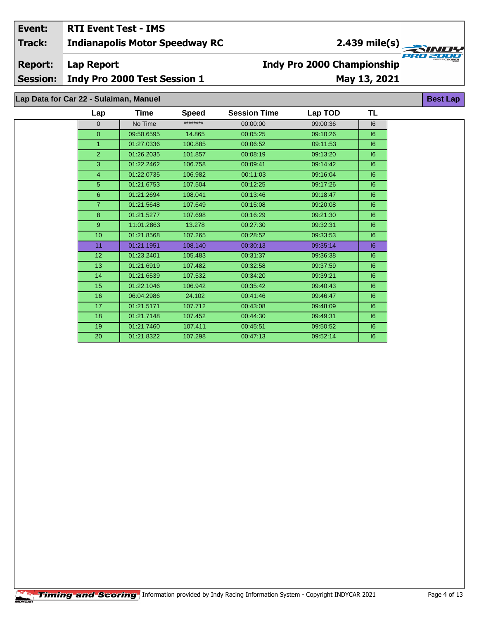### **Indianapolis Motor Speedway RC Event: RTI Event Test - IMS Track:**

**Report:**

**Lap Report**

**Session: Indy Pro 2000 Test Session 1**

# **May 13, 2021 Indy Pro 2000 Championship**

**Lap Data for Car 22 - Sulaiman, Manuel**

| Lap            | Time       | <b>Speed</b> | <b>Session Time</b> | Lap TOD  | TL |
|----------------|------------|--------------|---------------------|----------|----|
| $\Omega$       | No Time    | ********     | 00:00:00            | 09:00:36 | 16 |
| $\mathbf{0}$   | 09:50.6595 | 14.865       | 00:05:25            | 09:10:26 | 6  |
| $\mathbf{1}$   | 01:27.0336 | 100.885      | 00:06:52            | 09:11:53 | 16 |
| 2              | 01:26.2035 | 101.857      | 00:08:19            | 09:13:20 | 6  |
| 3              | 01:22.2462 | 106.758      | 00:09:41            | 09:14:42 | 6  |
| $\overline{4}$ | 01:22.0735 | 106.982      | 00:11:03            | 09:16:04 | 6  |
| 5              | 01:21.6753 | 107.504      | 00:12:25            | 09:17:26 | 6  |
| 6              | 01:21.2694 | 108.041      | 00:13:46            | 09:18:47 | 16 |
| $\overline{7}$ | 01:21.5648 | 107.649      | 00:15:08            | 09:20:08 | 6  |
| 8              | 01:21.5277 | 107.698      | 00:16:29            | 09:21:30 | 6  |
| 9              | 11:01.2863 | 13.278       | 00:27:30            | 09:32:31 | 6  |
| 10             | 01:21.8568 | 107.265      | 00:28:52            | 09:33:53 | 6  |
| 11             | 01:21.1951 | 108.140      | 00:30:13            | 09:35:14 | 16 |
| 12             | 01:23.2401 | 105.483      | 00:31:37            | 09:36:38 | 6  |
| 13             | 01:21.6919 | 107.482      | 00:32:58            | 09:37:59 | 6  |
| 14             | 01:21.6539 | 107.532      | 00:34:20            | 09:39:21 | 6  |
| 15             | 01:22.1046 | 106.942      | 00:35:42            | 09:40:43 | 6  |
| 16             | 06:04.2986 | 24.102       | 00:41:46            | 09:46:47 | 6  |
| 17             | 01:21.5171 | 107.712      | 00:43:08            | 09:48:09 | 16 |
| 18             | 01:21.7148 | 107.452      | 00:44:30            | 09:49:31 | 6  |
| 19             | 01:21.7460 | 107.411      | 00:45:51            | 09:50:52 | 6  |
| 20             | 01:21.8322 | 107.298      | 00:47:13            | 09:52:14 | 6  |

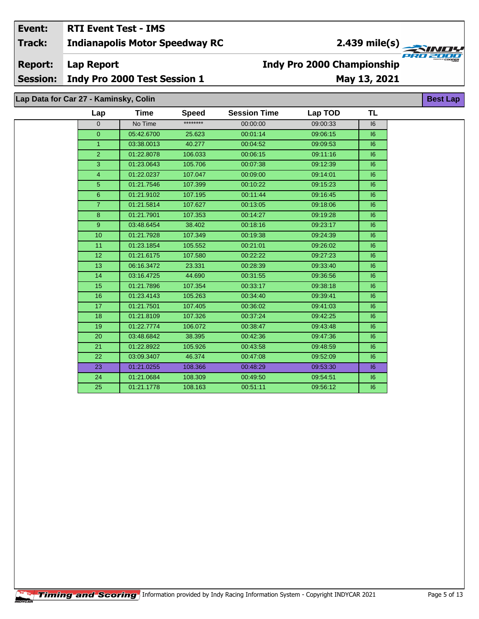#### Event: **RTI Event Test - IMS Indianapolis Motor Speedway RC Track:**

2.439 mile(s)

**Report: Lap Report** 

**Session:** Indy Pro 2000 Test Session 1

# May 13, 2021

**Best Lap** 

**Indy Pro 2000 Championship** 

Lap Data for Car 27 - Kaminsky, Colin

| Lap              | Time       | <b>Speed</b> | <b>Session Time</b> | Lap TOD  | TL |
|------------------|------------|--------------|---------------------|----------|----|
| $\mathbf{0}$     | No Time    | ********     | 00:00:00            | 09:00:33 | 16 |
| $\overline{0}$   | 05:42.6700 | 25.623       | 00:01:14            | 09:06:15 | 6  |
| $\mathbf{1}$     | 03:38.0013 | 40.277       | 00:04:52            | 09:09:53 | 16 |
| $\overline{2}$   | 01:22.8078 | 106.033      | 00:06:15            | 09:11:16 | 6  |
| 3                | 01:23.0643 | 105.706      | 00:07:38            | 09:12:39 | 16 |
| 4                | 01:22.0237 | 107.047      | 00:09:00            | 09:14:01 | 16 |
| 5                | 01:21.7546 | 107.399      | 00:10:22            | 09:15:23 | 6  |
| $6\phantom{1}$   | 01:21.9102 | 107.195      | 00:11:44            | 09:16:45 | 16 |
| $\overline{7}$   | 01:21.5814 | 107.627      | 00:13:05            | 09:18:06 | 6  |
| 8                | 01:21.7901 | 107.353      | 00:14:27            | 09:19:28 | 6  |
| $\boldsymbol{9}$ | 03:48.6454 | 38.402       | 00:18:16            | 09:23:17 | 6  |
| 10               | 01:21.7928 | 107.349      | 00:19:38            | 09:24:39 | 6  |
| 11               | 01:23.1854 | 105.552      | 00:21:01            | 09:26:02 | 16 |
| 12 <sup>2</sup>  | 01:21.6175 | 107.580      | 00:22:22            | 09:27:23 | 16 |
| 13               | 06:16.3472 | 23.331       | 00:28:39            | 09:33:40 | 16 |
| 14               | 03:16.4725 | 44.690       | 00:31:55            | 09:36:56 | 6  |
| 15               | 01:21.7896 | 107.354      | 00:33:17            | 09:38:18 | 6  |
| 16               | 01:23.4143 | 105.263      | 00:34:40            | 09:39:41 | 6  |
| 17               | 01:21.7501 | 107.405      | 00:36:02            | 09:41:03 | 6  |
| 18               | 01:21.8109 | 107.326      | 00:37:24            | 09:42:25 | 6  |
| 19               | 01:22.7774 | 106.072      | 00:38:47            | 09:43:48 | 6  |
| 20               | 03:48.6842 | 38.395       | 00:42:36            | 09:47:36 | 6  |
| 21               | 01:22.8922 | 105.926      | 00:43:58            | 09:48:59 | 6  |
| 22               | 03:09.3407 | 46.374       | 00:47:08            | 09:52:09 | 6  |
| 23               | 01:21.0255 | 108.366      | 00:48:29            | 09:53:30 | 16 |
| 24               | 01:21.0684 | 108.309      | 00:49:50            | 09:54:51 | 6  |
| 25               | 01:21.1778 | 108.163      | 00:51:11            | 09:56:12 | 16 |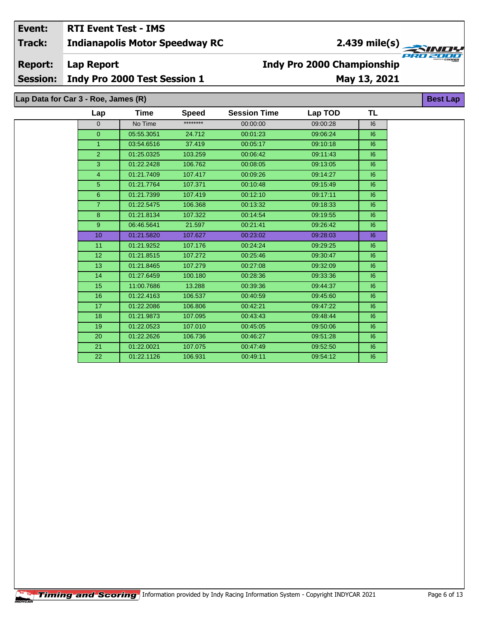#### Event: **RTI Event Test - IMS** 2.439 mile(s) **Indianapolis Motor Speedway RC Track: Report: Lap Report**

# **Indy Pro 2000 Championship**

**Session:** Indy Pro 2000 Test Session 1

# May 13, 2021

**Best Lap** 

Lap Data for Car 3 - Roe, James (R)

| Lap             | Time       | <b>Speed</b> | <b>Session Time</b> | Lap TOD  | TL |
|-----------------|------------|--------------|---------------------|----------|----|
| $\mathbf{0}$    | No Time    | ********     | 00:00:00            | 09:00:28 | 16 |
| $\overline{0}$  | 05:55.3051 | 24.712       | 00:01:23            | 09:06:24 | 6  |
| $\mathbf{1}$    | 03:54.6516 | 37.419       | 00:05:17            | 09:10:18 | 6  |
| $\overline{2}$  | 01:25.0325 | 103.259      | 00:06:42            | 09:11:43 | 6  |
| 3               | 01:22.2428 | 106.762      | 00:08:05            | 09:13:05 | 6  |
| 4               | 01:21.7409 | 107.417      | 00:09:26            | 09:14:27 | 6  |
| 5               | 01:21.7764 | 107.371      | 00:10:48            | 09:15:49 | 6  |
| $6\phantom{a}$  | 01:21.7399 | 107.419      | 00:12:10            | 09:17:11 | 6  |
| $\overline{7}$  | 01:22.5475 | 106.368      | 00:13:32            | 09:18:33 | 6  |
| 8               | 01:21.8134 | 107.322      | 00:14:54            | 09:19:55 | 16 |
| 9               | 06:46.5641 | 21.597       | 00:21:41            | 09:26:42 | 6  |
| 10              | 01:21.5820 | 107.627      | 00:23:02            | 09:28:03 | 6  |
| 11              | 01:21.9252 | 107.176      | 00:24:24            | 09:29:25 | 6  |
| 12 <sup>2</sup> | 01:21.8515 | 107.272      | 00:25:46            | 09:30:47 | 6  |
| 13              | 01:21.8465 | 107.279      | 00:27:08            | 09:32:09 | 6  |
| 14              | 01:27.6459 | 100.180      | 00:28:36            | 09:33:36 | 6  |
| 15              | 11:00.7686 | 13.288       | 00:39:36            | 09:44:37 | 6  |
| 16              | 01:22.4163 | 106.537      | 00:40:59            | 09:45:60 | 6  |
| 17              | 01:22.2086 | 106.806      | 00:42:21            | 09:47:22 | 6  |
| 18              | 01:21.9873 | 107.095      | 00:43:43            | 09:48:44 | 6  |
| 19              | 01:22.0523 | 107.010      | 00:45:05            | 09:50:06 | 6  |
| 20              | 01:22.2626 | 106.736      | 00:46:27            | 09:51:28 | 6  |
| 21              | 01:22.0021 | 107.075      | 00:47:49            | 09:52:50 | 16 |
| 22              | 01:22.1126 | 106.931      | 00:49:11            | 09:54:12 | 6  |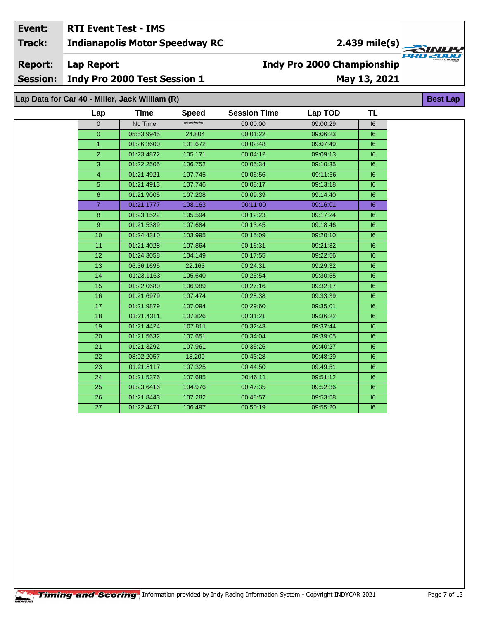### Event: **RTI Event Test - IMS Track: Indianapolis Motor Speedway RC**

# $2.439$  mile(s)

**TAND!** 

**Best Lap** 

**Report:** 

**Lap Report** 

**Session:** Indy Pro 2000 Test Session 1 May 13, 2021

**Indy Pro 2000 Championship** 

Lap Data for Car 40 - Miller, Jack William (R)

| Lap            | Time       | <b>Speed</b> | <b>Session Time</b> | Lap TOD  | TL |
|----------------|------------|--------------|---------------------|----------|----|
| $\overline{0}$ | No Time    | ********     | 00:00:00            | 09:00:29 | 16 |
| $\mathbf{0}$   | 05:53.9945 | 24.804       | 00:01:22            | 09:06:23 | 16 |
| $\mathbf{1}$   | 01:26.3600 | 101.672      | 00:02:48            | 09:07:49 | 6  |
| $\overline{2}$ | 01:23.4872 | 105.171      | 00:04:12            | 09:09:13 | 16 |
| 3              | 01:22.2505 | 106.752      | 00:05:34            | 09:10:35 | 6  |
| $\overline{4}$ | 01:21.4921 | 107.745      | 00:06:56            | 09:11:56 | 6  |
| 5 <sup>5</sup> | 01:21.4913 | 107.746      | 00:08:17            | 09:13:18 | 6  |
| $6^{\circ}$    | 01:21.9005 | 107.208      | 00:09:39            | 09:14:40 | 6  |
| $\overline{7}$ | 01:21.1777 | 108.163      | 00:11:00            | 09:16:01 | 6  |
| 8              | 01:23.1522 | 105.594      | 00:12:23            | 09:17:24 | 6  |
| 9              | 01:21.5389 | 107.684      | 00:13:45            | 09:18:46 | 6  |
| 10             | 01:24.4310 | 103.995      | 00:15:09            | 09:20:10 | 16 |
| 11             | 01:21.4028 | 107.864      | 00:16:31            | 09:21:32 | 6  |
| 12             | 01:24.3058 | 104.149      | 00:17:55            | 09:22:56 | 16 |
| 13             | 06:36.1695 | 22.163       | 00:24:31            | 09:29:32 | 6  |
| 14             | 01:23.1163 | 105.640      | 00:25:54            | 09:30:55 | 16 |
| 15             | 01:22.0680 | 106.989      | 00:27:16            | 09:32:17 | 6  |
| 16             | 01:21.6979 | 107.474      | 00:28:38            | 09:33:39 | 6  |
| 17             | 01:21.9879 | 107.094      | 00:29:60            | 09:35:01 | 6  |
| 18             | 01:21.4311 | 107.826      | 00:31:21            | 09:36:22 | 16 |
| 19             | 01:21.4424 | 107.811      | 00:32:43            | 09:37:44 | 6  |
| 20             | 01:21.5632 | 107.651      | 00:34:04            | 09:39:05 | 6  |
| 21             | 01:21.3292 | 107.961      | 00:35:26            | 09:40:27 | 6  |
| 22             | 08:02.2057 | 18.209       | 00:43:28            | 09:48:29 | 6  |
| 23             | 01:21.8117 | 107.325      | 00:44:50            | 09:49:51 | 6  |
| 24             | 01:21.5376 | 107.685      | 00:46:11            | 09:51:12 | 6  |
| 25             | 01:23.6416 | 104.976      | 00:47:35            | 09:52:36 | 6  |
| 26             | 01:21.8443 | 107.282      | 00:48:57            | 09:53:58 | 16 |
| 27             | 01:22.4471 | 106.497      | 00:50:19            | 09:55:20 | 6  |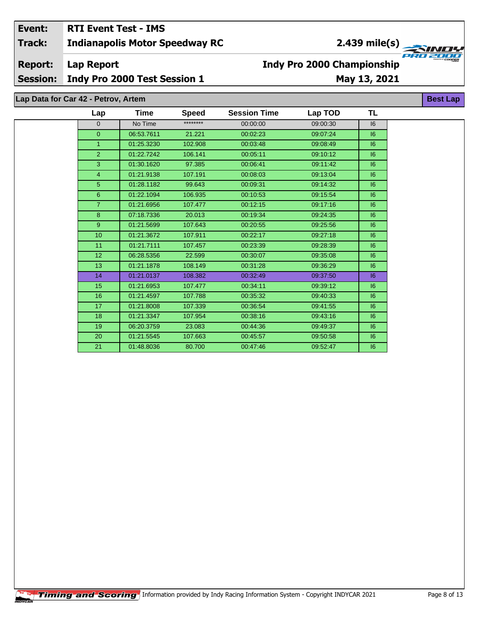#### Event: **RTI Event Test - IMS Indianapolis Motor Speedway RC Track:**

# **Report:**

**Lap Report** 

**Session:** Indy Pro 2000 Test Session 1

# **Indy Pro 2000 Championship** May 13, 2021

Lap Data for Car 42 - Petrov, Artem

| Lap              | Time       | <b>Speed</b> | <b>Session Time</b> | Lap TOD  | TL |
|------------------|------------|--------------|---------------------|----------|----|
| $\mathbf{0}$     | No Time    | ********     | 00:00:00            | 09:00:30 | 16 |
| $\overline{0}$   | 06:53.7611 | 21.221       | 00:02:23            | 09:07:24 | 6  |
| $\mathbf{1}$     | 01:25.3230 | 102.908      | 00:03:48            | 09:08:49 | 6  |
| $\overline{2}$   | 01:22.7242 | 106.141      | 00:05:11            | 09:10:12 | 6  |
| 3                | 01:30.1620 | 97.385       | 00:06:41            | 09:11:42 | 6  |
| $\overline{4}$   | 01:21.9138 | 107.191      | 00:08:03            | 09:13:04 | 6  |
| 5                | 01:28.1182 | 99.643       | 00:09:31            | 09:14:32 | 6  |
| 6                | 01:22.1094 | 106.935      | 00:10:53            | 09:15:54 | 6  |
| $\overline{7}$   | 01:21.6956 | 107.477      | 00:12:15            | 09:17:16 | 6  |
| $\overline{8}$   | 07:18.7336 | 20.013       | 00:19:34            | 09:24:35 | 6  |
| 9                | 01:21.5699 | 107.643      | 00:20:55            | 09:25:56 | 6  |
| 10 <sup>10</sup> | 01:21.3672 | 107.911      | 00:22:17            | 09:27:18 | 6  |
| 11               | 01:21.7111 | 107.457      | 00:23:39            | 09:28:39 | 6  |
| 12 <sup>2</sup>  | 06:28.5356 | 22.599       | 00:30:07            | 09:35:08 | 6  |
| 13               | 01:21.1878 | 108.149      | 00:31:28            | 09:36:29 | 6  |
| 14               | 01:21.0137 | 108.382      | 00:32:49            | 09:37:50 | 16 |
| 15               | 01:21.6953 | 107.477      | 00:34:11            | 09:39:12 | 6  |
| 16               | 01:21.4597 | 107.788      | 00:35:32            | 09:40:33 | 6  |
| 17               | 01:21.8008 | 107.339      | 00:36:54            | 09:41:55 | 6  |
| 18               | 01:21.3347 | 107.954      | 00:38:16            | 09:43:16 | 6  |
| 19               | 06:20.3759 | 23.083       | 00:44:36            | 09:49:37 | 6  |
| 20               | 01:21.5545 | 107.663      | 00:45:57            | 09:50:58 | 6  |
| 21               | 01:48.8036 | 80.700       | 00:47:46            | 09:52:47 | 6  |

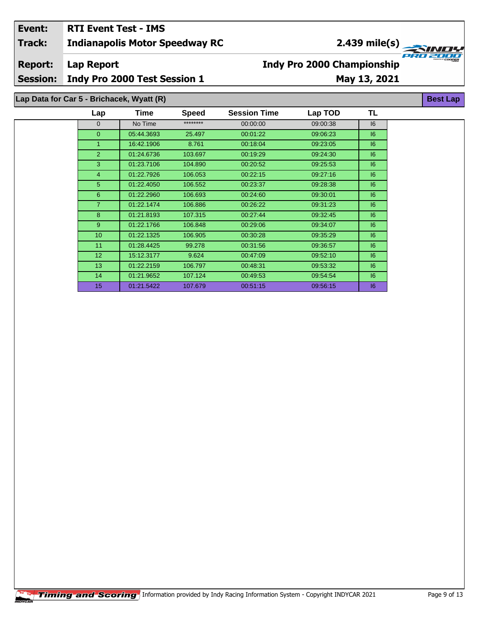### **Indianapolis Motor Speedway RC Lap Report May 13, 2021 Event: RTI Event Test - IMS Track: Report: Session: Indy Pro 2000 Test Session 1 Indy Pro 2000 Championship** 2.439 mile(s)<br> **Extremely**

### **Lap Data for Car 5 - Brichacek, Wyatt (R)**

| Lap              | <b>Time</b> | <b>Speed</b> | <b>Session Time</b> | Lap TOD  | TL |
|------------------|-------------|--------------|---------------------|----------|----|
| $\Omega$         | No Time     | ********     | 00:00:00            | 09:00:38 | 6  |
| $\overline{0}$   | 05:44.3693  | 25.497       | 00:01:22            | 09:06:23 | 6  |
| 1                | 16:42.1906  | 8.761        | 00:18:04            | 09:23:05 | 6  |
| 2                | 01:24.6736  | 103.697      | 00:19:29            | 09:24:30 | 6  |
| 3                | 01:23.7106  | 104.890      | 00:20:52            | 09:25:53 | 6  |
| $\overline{4}$   | 01:22.7926  | 106.053      | 00:22:15            | 09:27:16 | 6  |
| 5                | 01:22.4050  | 106.552      | 00:23:37            | 09:28:38 | 6  |
| 6                | 01:22.2960  | 106.693      | 00:24:60            | 09:30:01 | 6  |
| $\overline{7}$   | 01:22.1474  | 106.886      | 00:26:22            | 09:31:23 | 6  |
| 8                | 01:21.8193  | 107.315      | 00:27:44            | 09:32:45 | 6  |
| 9                | 01:22.1766  | 106.848      | 00:29:06            | 09:34:07 | 6  |
| 10 <sup>10</sup> | 01:22.1325  | 106.905      | 00:30:28            | 09:35:29 | 6  |
| 11               | 01:28.4425  | 99.278       | 00:31:56            | 09:36:57 | 6  |
| 12 <sup>2</sup>  | 15:12.3177  | 9.624        | 00:47:09            | 09:52:10 | 6  |
| 13               | 01:22.2159  | 106.797      | 00:48:31            | 09:53:32 | 16 |
| 14               | 01:21.9652  | 107.124      | 00:49:53            | 09:54:54 | 6  |
| 15               | 01:21.5422  | 107.679      | 00:51:15            | 09:56:15 | 6  |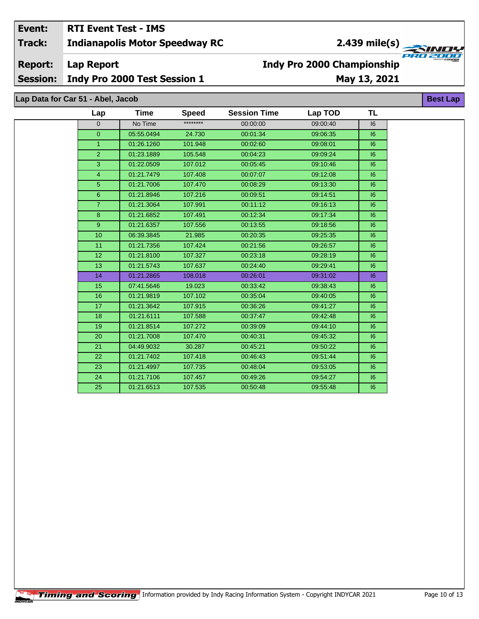### Event: **RTI Event Test - IMS**

**Indianapolis Motor Speedway RC Track:** 

**Report: Lap Report** 

**Session:** Indy Pro 2000 Test Session 1

# May 13, 2021

**Indy Pro 2000 Championship** 

Lap Data for Car 51 - Abel, Jacob

| Lap             | <b>Time</b> | <b>Speed</b> | <b>Session Time</b> | Lap TOD  | TL |
|-----------------|-------------|--------------|---------------------|----------|----|
| $\mathbf 0$     | No Time     | ********     | 00:00:00            | 09:00:40 | 6  |
| $\mathbf{0}$    | 05:55.0494  | 24.730       | 00:01:34            | 09:06:35 | 16 |
| $\mathbf{1}$    | 01:26.1260  | 101.948      | 00:02:60            | 09:08:01 | 6  |
| $\overline{2}$  | 01:23.1889  | 105.548      | 00:04:23            | 09:09:24 | 6  |
| $\mathbf{3}$    | 01:22.0509  | 107.012      | 00:05:45            | 09:10:46 | 16 |
| 4               | 01:21.7479  | 107.408      | 00:07:07            | 09:12:08 | 6  |
| 5               | 01:21.7006  | 107.470      | 00:08:29            | 09:13:30 | 6  |
| $6\phantom{1}$  | 01:21.8946  | 107.216      | 00:09:51            | 09:14:51 | 16 |
| $\overline{7}$  | 01:21.3064  | 107.991      | 00:11:12            | 09:16:13 | 16 |
| 8               | 01:21.6852  | 107.491      | 00:12:34            | 09:17:34 | 6  |
| 9               | 01:21.6357  | 107.556      | 00:13:55            | 09:18:56 | 6  |
| 10              | 06:39.3845  | 21.985       | 00:20:35            | 09:25:35 | 6  |
| 11              | 01:21.7356  | 107.424      | 00:21:56            | 09:26:57 | 6  |
| 12 <sup>2</sup> | 01:21.8100  | 107.327      | 00:23:18            | 09:28:19 | 6  |
| 13              | 01:21.5743  | 107.637      | 00:24:40            | 09:29:41 | 6  |
| 14              | 01:21.2865  | 108.018      | 00:26:01            | 09:31:02 | 6  |
| 15              | 07:41.5646  | 19.023       | 00:33:42            | 09:38:43 | 6  |
| 16              | 01:21.9819  | 107.102      | 00:35:04            | 09:40:05 | 6  |
| 17              | 01:21.3642  | 107.915      | 00:36:26            | 09:41:27 | 6  |
| 18              | 01:21.6111  | 107.588      | 00:37:47            | 09:42:48 | 6  |
| 19              | 01:21.8514  | 107.272      | 00:39:09            | 09:44:10 | 6  |
| 20              | 01:21.7008  | 107.470      | 00:40:31            | 09:45:32 | 16 |
| 21              | 04:49.9032  | 30.287       | 00:45:21            | 09:50:22 | 6  |
| 22              | 01:21.7402  | 107.418      | 00:46:43            | 09:51:44 | 6  |
| 23              | 01:21.4997  | 107.735      | 00:48:04            | 09:53:05 | 6  |
| 24              | 01:21.7106  | 107.457      | 00:49:26            | 09:54:27 | 6  |
| 25              | 01:21.6513  | 107.535      | 00:50:48            | 09:55:48 | 16 |

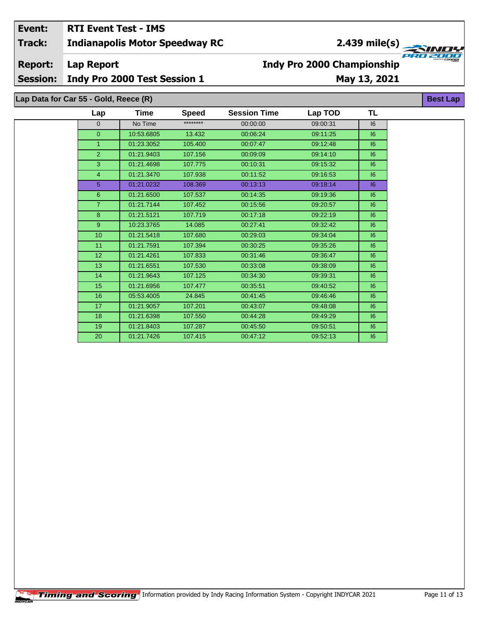### **Indianapolis Motor Speedway RC Lap Report Event: RTI Event Test - IMS Track: Report:**

## **Indy Pro 2000 Championship**

**Session: Indy Pro 2000 Test Session 1**

# **May 13, 2021**

**Lap Data for Car 55 - Gold, Reece (R)**

| Lap              | Time       | <b>Speed</b> | <b>Session Time</b> | Lap TOD  | TL |  |
|------------------|------------|--------------|---------------------|----------|----|--|
| $\Omega$         | No Time    | ********     | 00:00:00            | 09:00:31 | 6  |  |
| $\overline{0}$   | 10:53.6805 | 13.432       | 00:06:24            | 09:11:25 | 6  |  |
| $\mathbf{1}$     | 01:23.3052 | 105.400      | 00:07:47            | 09:12:48 | 6  |  |
| 2                | 01:21.9403 | 107.156      | 00:09:09            | 09:14:10 | 6  |  |
| 3                | 01:21.4698 | 107.775      | 00:10:31            | 09:15:32 | 6  |  |
| $\overline{4}$   | 01:21.3470 | 107.938      | 00:11:52            | 09:16:53 | 6  |  |
| 5                | 01:21.0232 | 108.369      | 00:13:13            | 09:18:14 | 6  |  |
| 6                | 01:21.6500 | 107.537      | 00:14:35            | 09:19:36 | 16 |  |
| $\overline{7}$   | 01:21.7144 | 107.452      | 00:15:56            | 09:20:57 | 6  |  |
| 8                | 01:21.5121 | 107.719      | 00:17:18            | 09:22:19 | 6  |  |
| 9                | 10:23.3765 | 14.085       | 00:27:41            | 09:32:42 | 6  |  |
| 10 <sup>10</sup> | 01:21.5418 | 107.680      | 00:29:03            | 09:34:04 | 6  |  |
| 11               | 01:21.7591 | 107.394      | 00:30:25            | 09:35:26 | 6  |  |
| 12 <sup>2</sup>  | 01:21.4261 | 107.833      | 00:31:46            | 09:36:47 | 6  |  |
| 13               | 01:21.6551 | 107.530      | 00:33:08            | 09:38:09 | 6  |  |
| 14               | 01:21.9643 | 107.125      | 00:34:30            | 09:39:31 | 6  |  |
| 15               | 01:21.6956 | 107.477      | 00:35:51            | 09:40:52 | 6  |  |
| 16               | 05:53.4005 | 24.845       | 00:41:45            | 09:46:46 | 6  |  |
| 17               | 01:21.9057 | 107.201      | 00:43:07            | 09:48:08 | 6  |  |
| 18               | 01:21.6398 | 107.550      | 00:44:28            | 09:49:29 | 6  |  |
| 19               | 01:21.8403 | 107.287      | 00:45:50            | 09:50:51 | 6  |  |
| 20               | 01:21.7426 | 107.415      | 00:47:12            | 09:52:13 | 16 |  |

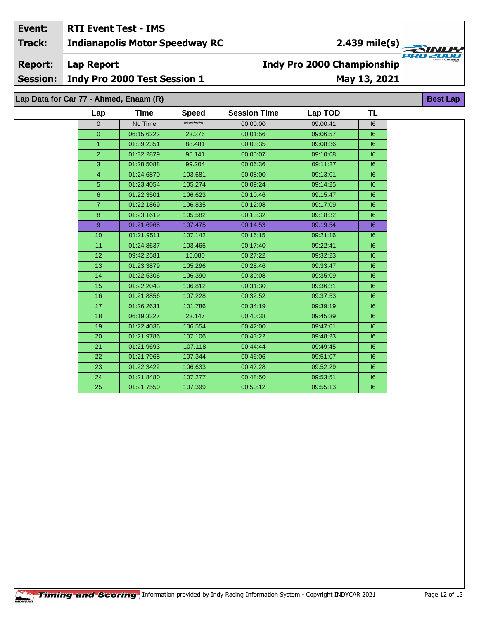### Event: **RTI Event Test - IMS Indianapolis Motor Speedway RC**

2.439 mile(s)

**Track:** 

**Report: Lap Report** 

**Session:** Indy Pro 2000 Test Session 1

# May 13, 2021

**Best Lap** 

**Indy Pro 2000 Championship** 

Lap Data for Car 77 - Ahmed, Enaam (R)

| Lap            | Time       | <b>Speed</b> | <b>Session Time</b> | Lap TOD  | TL |
|----------------|------------|--------------|---------------------|----------|----|
| $\mathbf{0}$   | No Time    | ********     | 00:00:00            | 09:00:41 | 6  |
| $\overline{0}$ | 06:15.6222 | 23.376       | 00:01:56            | 09:06:57 | 6  |
| $\mathbf{1}$   | 01:39.2351 | 88.481       | 00:03:35            | 09:08:36 | 6  |
| $\overline{2}$ | 01:32.2879 | 95.141       | 00:05:07            | 09:10:08 | 6  |
| 3              | 01:28.5088 | 99.204       | 00:06:36            | 09:11:37 | 6  |
| $\overline{4}$ | 01:24.6870 | 103.681      | 00:08:00            | 09:13:01 | 16 |
| 5              | 01:23.4054 | 105.274      | 00:09:24            | 09:14:25 | 6  |
| $6\phantom{1}$ | 01:22.3501 | 106.623      | 00:10:46            | 09:15:47 | 6  |
| $\overline{7}$ | 01:22.1869 | 106.835      | 00:12:08            | 09:17:09 | 6  |
| 8              | 01:23.1619 | 105.582      | 00:13:32            | 09:18:32 | 6  |
| 9 <sup>°</sup> | 01:21.6968 | 107.475      | 00:14:53            | 09:19:54 | 6  |
| 10             | 01:21.9511 | 107.142      | 00:16:15            | 09:21:16 | 6  |
| 11             | 01:24.8637 | 103.465      | 00:17:40            | 09:22:41 | 6  |
| 12             | 09:42.2581 | 15.080       | 00:27:22            | 09:32:23 | 6  |
| 13             | 01:23.3879 | 105.296      | 00:28:46            | 09:33:47 | 6  |
| 14             | 01:22.5306 | 106.390      | 00:30:08            | 09:35:09 | 6  |
| 15             | 01:22.2043 | 106.812      | 00:31:30            | 09:36:31 | 6  |
| 16             | 01:21.8856 | 107.228      | 00:32:52            | 09:37:53 | 6  |
| 17             | 01:26.2631 | 101.786      | 00:34:19            | 09:39:19 | 6  |
| 18             | 06:19.3327 | 23.147       | 00:40:38            | 09:45:39 | 6  |
| 19             | 01:22.4036 | 106.554      | 00:42:00            | 09:47:01 | 6  |
| 20             | 01:21.9786 | 107.106      | 00:43:22            | 09:48:23 | 6  |
| 21             | 01:21.9693 | 107.118      | 00:44:44            | 09:49:45 | 6  |
| 22             | 01:21.7968 | 107.344      | 00:46:06            | 09:51:07 | 16 |
| 23             | 01:22.3422 | 106.633      | 00:47:28            | 09:52:29 | 6  |
| 24             | 01:21.8480 | 107.277      | 00:48:50            | 09:53:51 | 6  |
| 25             | 01:21.7550 | 107.399      | 00:50:12            | 09:55:13 | 16 |